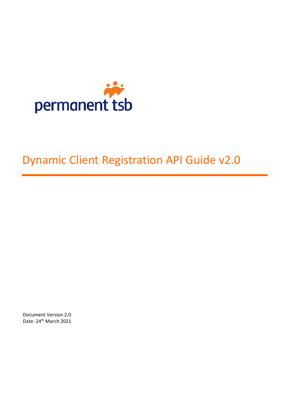

# Dynamic Client Registration API Guide v2.0

Document Version 2.0 Date: 24<sup>th</sup> March 2021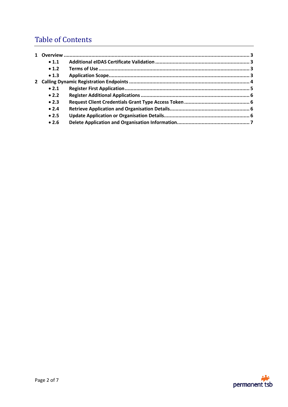# Table of Contents

|  | $\bullet$ 1.1 |  |
|--|---------------|--|
|  | $\bullet$ 1.2 |  |
|  | $\bullet$ 1.3 |  |
|  |               |  |
|  | $\bullet$ 2.1 |  |
|  | • 2.2         |  |
|  | • 2.3         |  |
|  | • 2.4         |  |
|  | $\bullet$ 2.5 |  |
|  | • 2.6         |  |

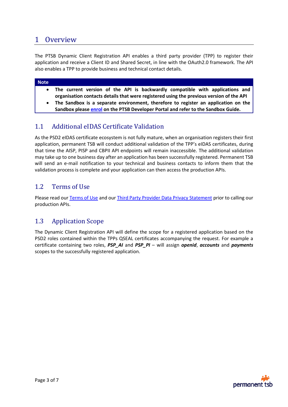# <span id="page-2-0"></span>1 Overview

The PTSB Dynamic Client Registration API enables a third party provider (TPP) to register their application and receive a Client ID and Shared Secret, in line with the OAuth2.0 framework. The API also enables a TPP to provide business and technical contact details.

#### **Note**

- **The current version of the API is backwardly compatible with applications and organisation contacts details that were registered using the previous version of the API**
- **The Sandbox is a separate environment, therefore to register an application on the Sandbox please enrol on the PTSB Developer Portal and refer to the Sandbox Guide.**

# <span id="page-2-1"></span>1.1 Additional eIDAS Certificate Validation

As the PSD2 eIDAS certificate ecosystem is not fully mature, when an organisation registers their first application, permanent TSB will conduct additional validation of the TPP's eIDAS certificates, during that time the AISP, PISP and CBPII API endpoints will remain inaccessible. The additional validation may take up to one business day after an application has been successfully registered. Permanent TSB will send an e-mail notification to your technical and business contacts to inform them that the validation process is complete and your application can then access the production APIs.

## <span id="page-2-2"></span>1.2 Terms of Use

Please read our [Terms of Use](https://www.permanenttsb.ie/globalassets/pdf-documents/tpp/bmk-4720---permanent-tsb-third-party-provider-terms-of-use.pdf) and our [Third Party Provider Data Privacy Statement](https://www.permanenttsb.ie/developer-portal/tpp-developer-portal/third-party-provider-data-privacy-statement/) prior to calling our production APIs.

## <span id="page-2-3"></span>1.3 Application Scope

The Dynamic Client Registration API will define the scope for a registered application based on the PSD2 roles contained within the TPPs QSEAL certificates accompanying the request. For example a certificate containing two roles, *PSP\_AI* and *PSP\_PI* – will assign *openid*, *accounts* and *payments* scopes to the successfully registered application.

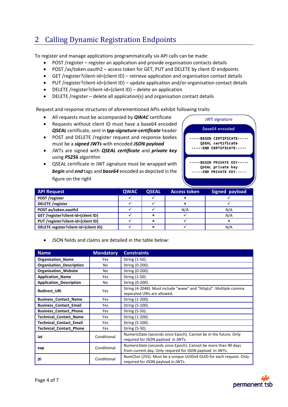# <span id="page-3-0"></span>2 Calling Dynamic Registration Endpoints

To register and manage applications programmatically six API calls can be made:

- POST /register register an application and provide organisation contacts details
- POST /as/token.oauth2 access token for GET, PUT and DELETE by client ID endpoints
- GET /register?client-id={client ID} retrieve application and organisation contact details
- PUT /register?client-id={client ID} update application and/or organisation contact details
- DELETE /register?client-id={client ID} delete an application
- DELETE /register delete all application(s) and organisation contact details

Request and response structures of aforementioned APIs exhibit following traits:

- All requests must be accompanied by *QWAC* certificate
- Requests without client ID must have a base64 encoded *QSEAL* certificate, sent in *tpp-signature-certificate* header
- POST and DELETE /register request and response bodies must be a *signed JWTs* with encoded *JSON payload*
- JWTs are signed with *QSEAL certificate* and *private key*  using *PS256* algorithm
- QSEAL certificate in JWT signature must be wrapped with *begin* and *end* tags and *base64* encoded as depicted in the figure on the right



| <b>API Request</b>                    | <b>QWAC</b> | <b>QSEAL</b> | <b>Access token</b> | <b>Signed payload</b> |
|---------------------------------------|-------------|--------------|---------------------|-----------------------|
| POST /register                        |             |              |                     |                       |
| <b>DELETE</b> /register               |             |              | ×                   |                       |
| POST as/token.oauth2                  |             |              | N/A                 | N/A                   |
| GET /register?client-id={client ID}   |             | ×            |                     | N/A                   |
| PUT /register?client-id={client ID}   |             | ×            |                     | ×                     |
| DELETE register?client-id={client ID} |             | ×            |                     | N/A                   |

JSON fields and claims are detailed in the table below:

| <b>Name</b>                     | <b>Mandatory</b> | <b>Constraints</b>                                                                                                          |
|---------------------------------|------------------|-----------------------------------------------------------------------------------------------------------------------------|
| <b>Organisation_Name</b>        | Yes              | String (1-50).                                                                                                              |
| <b>Organisation Description</b> | No.              | String (0-200).                                                                                                             |
| <b>Organisation Website</b>     | No               | String (0-200).                                                                                                             |
| <b>Application_Name</b>         | Yes              | String (1-50).                                                                                                              |
| <b>Application Description</b>  | No               | String (0-200).                                                                                                             |
| <b>Redirect URI</b>             | Yes              | String (4-2048). Must include "www" and "http(s)". Multiple comma<br>separated URIs are allowed.                            |
| <b>Business_Contact_Name</b>    | Yes              | String (1-200).                                                                                                             |
| <b>Business Contact Email</b>   | <b>Yes</b>       | String (5-100).                                                                                                             |
| <b>Business_Contact_Phone</b>   | Yes              | String (5-50).                                                                                                              |
| <b>Technical Contact Name</b>   | Yes              | String (1-200).                                                                                                             |
| <b>Technical Contact Email</b>  | Yes              | String (5-100).                                                                                                             |
| <b>Technical Contact Phone</b>  | Yes              | String (5-50).                                                                                                              |
| iat                             | Conditional      | NumericDate (seconds since Epoch). Cannot be in the future. Only<br>required for JSON payload in JWTs.                      |
| exp                             | Conditional      | NumericDate (seconds since Epoch). Cannot be more than 90 days<br>from current day. Only required for JSON payload in JWTs. |
| jti                             | Conditional      | NumChar (255). Must be a unique UUIDv4 GUID for each request. Only<br>required for JSON payload in JWTs.                    |

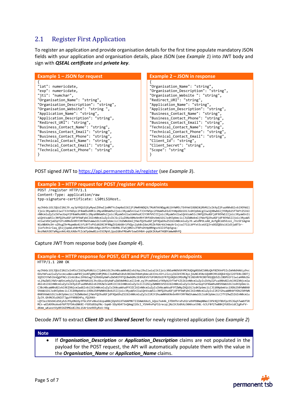# <span id="page-4-0"></span>2.1 Register First Application

To register an application and provide organisation details for the first time populate mandatory JSON fields with your application and organisation details, place JSON (see *Example 1*) into JWT body and sign with *QSEAL certificate* and *private key*.

| Example $1 -$ JSON for request        | Example 2 – JSON in response          |
|---------------------------------------|---------------------------------------|
| "iat": numericdate,                   | "Organisation Name": "string",        |
| "exp": numericdate,                   | "Organisation_Description": "string", |
| "jti": "numchar",                     | "Organisation Website ": "string",    |
| "Organisation Name": "string",        | "Redirect URI": "string",             |
| "Organisation Description": "string", | "Application Name": "string",         |
| "Organisation Website": "string ",    | "Application_Description": "string",  |
| "Application Name": "string",         | "Business Contact Name": "string",    |
| "Application Description": "string",  | "Business Contact Phone": "string",   |
| "Redirect URI": "string",             | "Business_Contact_Email": "string",   |
| "Business Contact Name": "string",    | "Technical Contact Name": "string",   |
| "Business Contact Email": "string",   | "Technical Contact Phone": "string",  |
| "Business Contact Phone": "string",   | "Technical Contact Email": "string",  |
| "Technical_Contact_Name": "string",   | "Client Id": "string",                |
| "Technical Contact Email": "string",  | "Client Secret": "string",            |
| "Technical Contact Phone": "string"   | "Scope": "string"                     |

POST signed JWT t[o https://api.permanenttsb.ie/register](https://api.permanenttsb.ie/register) (see *Example 3*).

#### **Example 3 – HTTP request for POST /register API endpoints** POST /register HTTP/1.1 Content-Type: application/raw tpp-signature-certificate: LS0tLS1Host… eyJhbGciOiJQUzI1NiJ9.eyJpYXQiOjEyMywiZXhwIjo0NTYsImp0aSI6IjFiMmRhNDQ3LTMzNTAtNDgyNi1hYWM5LTE4YmVlOGNlNjRhMiIsIk9yZ2FuaXNhdGlvbl9OYW1l Ijoic3RyaW5nIiwiT3JnYW5pc2F0aW9uX0Rlc2NyaXB0aW9uIjoic3RyaW5nIiwiT3JnYW5pc2F0aW9uX1dlYnNpdGUiOiJzdHJpbmcgIiwiQXBwbGljYXRpb25fTmFtZSI6I<br>nN0cmluZyIsIkFwcGxpY2F0aW9uX0Rlc2NyaXB0aW9uIjoic3RyaW5nIiwiUmVkaXJlY3RfVVJJIjoic3RyaW5nI wiQnVzaW5lc3NfQ29udGFjdF9FbWFpbCI6InN0cmluZyIsIkJ1c2luZXNzX0NvbnRhY3RfUGhvbmUiOiJzdHJpbmciLCJUZWNobmljYWxfQ29udGFjdF9OYW1lIjoic3RyaW5<br>nIiwiVGVjaG5pY2FsX0NvbnRhY3RfRW1haWwiOiJzdHJpbmciLCJUZWNobmljYWxfQ29udGFjdF9QaG9uZSI6InN N1sNBA9o3H-xZRsgZ9rMupmBo4itfL8YTvPV1d6SRC9FRNgZV1A668r1fVQyc2yb8vZdeLM5ZkfAXrkbJnWuXrIxjcwJ711LbPfxtSceUCQJroOOZQDUsi6ld3jaBTSrjiofs9nirIaq\_Q5sjjqeWLeh0rMZKeY1Z8XcbRgc24fSrcrAkRNL3Tw5j0NJsJF8PsDtHp0RHgvzV2lSfUp5gsq-NvzRWUtOO7aMqyvA4L4GLKA8xftIcW7pdmwB1zv55CMpVL2pa1G0xFMUwMr5owEVHbH-pqGkIKAa4T4GBYaWwA0hfQ

#### Capture JWT from response body (see *Example 4*).



eyJhbGciOiJQUzI1NiIsInR5cCI6IkpPU0UiLCJjdHkiOiJhcHBsaWNhdGlvbi9qc29uIiwia2lkIjoicXNSaHNOVUhYMC9UQVg0SDdCS08zQkFBZXVnPSIsImh0dHA6Ly9vc GVuYmFua2luZy5vcmcudWsvaWF0IjoxNTg0NjE4MjM4LCJodHRwOi8vb3BlbmJhbmtpbmcub3JnLnVrL2lzcyI6Ik9JRC4yLjUuNC45Nz1QU0RJRS1DQkktQzI2OTE0LCBDTj 1QZXJtYW5lbnQgVFNCc2lnbiBxc2VhbCwgT1U9UGVybWFuZW50IFRTQiBwbGMsIE89UEVSTUFORU5UIFRTQiBQVUJMSUMgTElNSVRFRCBDT01QQU5ZLCBDPUlFIiwiaHR0cDc<br>vL29wZW5iYW5raW5nLm9yZy51ay90YW4iOiJhcGkucGVybWFuZW50dHNiLmllIn0.eyJPcmdhbmlzYXRpb25fTmF dGlvbiI6InN0cmluZyIsIk9yZ2FuaXNhdGlvbl9XZWJzaXRlICI6InN0cmluZyIsIlJlZGlyZWN0X1VSSSI6InN0cmluZyIsIkFwcGxpY2F0aW9uX05hbWUiOiJzdHJpbmciL<br>CJBcHBsaWNhdGlvbl9EZXNjcmlwdGlvbiI6InN0cmluZyIsIkNsaWVudF9JZCI6InN0cmluZyIsIkNsaWVudF9TZ 5hbWUiOiJzdHJpbmciLCJCdXNpbmVzc19Db250YWN0X1Bob25lIjoic3RyaW5nIiwiQnVzaW5lc3NfQ29udGFjdF9FbWFpbCI6InN0cmluZyIsIlRlY2huaWNhbF9Db250YWN 0X05hbWUiOiJzdHJpbmciLCJUZWNobmljYWxfQ29udGFjdF9QaG9uZSI6InN0cmluZyIsIlRlY2huaWNhbENvbnRhY3RfRW1haWwiOiJzdHJpbmciLCJTY29wZSI6InN0cmlu ZyJ9.Gh9NJEuSNlETJguYf4RBEHFq\_fQiR4X-

LQYIez3bSO4ldSEyhZcPXyONiDy3TbLV5Fv8keIdzpa006jOpVXiXTk8APMKTIIOAWUXAzS\_kQoz7e44k\_EfDHfhrxPu92ra9VPD0WqNBWzI3Pk9QJf8bfpz95JGqhTwWVf5R MCn-wESA99koke6f6P7DTO4sGNK0I-FG9SdEGqYNc-Sqm8-SDyXG473vQAmgI2OcI\_YShHhvPqFS1recqLjNzlhJUdhXz30Ahsxt98L-bJLF8f2Tw8BHjYUOSnidCIgRvFVdKmm\_wKuostVy89I4Z9MGs8lJbL1S4r1ne9O5yRzU-hXg

Decode JWT to extract *Client ID* and *Shared Secret* for newly registered application (see *Example 2*)

#### **Note**

 If *Organisation\_Description* or *Application\_Description* claims are not populated in the payload for the POST request, the API will automatically populate them with the value in the *Organisation\_Name* or *Application\_Name* claims.

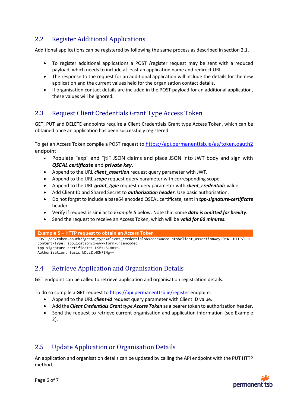# <span id="page-5-0"></span>2.2 Register Additional Applications

Additional applications can be registered by following the same process as described in section [2.1.](#page-4-0)

- To register additional applications a POST /register request may be sent with a reduced payload, which needs to include at least an application name and redirect URI.
- The response to the request for an additional application will include the details for the new application and the current values held for the organisation contact details.
- If organisation contact details are included in the POST payload for an additional application, these values will be ignored.

# <span id="page-5-1"></span>2.3 Request Client Credentials Grant Type Access Token

GET, PUT and DELETE endpoints require a Client Credentials Grant type Access Token, which can be obtained once an application has been successfully registered.

To get an Access Token compile a POST request to <https://api.permanenttsb.ie/as/token.oauth2> endpoint:

- Populate "exp" and "jti" JSON claims and place JSON into JWT body and sign with *QSEAL certificate* and *private key*.
- Append to the URL *client\_assertion* request query parameter with JWT.
- Append to the URL *scope* request query parameter with corresponding scope.
- Append to the URL *grant\_type* request query parameter with *client\_credentials* value.
- Add Client ID and Shared Secret to *authorization header*. Use basic authorisation.
- Do not forget to include a base64 encoded QSEAL certificate, sent in *tpp-signature-certificate* header.
- Verify if request is similar to *Example 5* below. Note that some *data is omitted for brevity*.
- Send the request to receive an Access Token, which will be *valid for 60 minutes*.

#### **Example 5 – HTTP request to obtain an Access Token**

```
POST /as/token.oauth2?grant_type=client_credentials&scope=accounts&client_assertion=eyJ0eA… HTTP/1.1
Content-Type: application/x-www-form-urlencoded
tpp-signature-certificate: LS0tLS1Host…
Authorization: Basic bDczZ…4OWFlNg==
```
# <span id="page-5-2"></span>2.4 Retrieve Application and Organisation Details

GET endpoint can be called to retrieve application and organisation registration details.

To do so compile a **GET** request to<https://api.permanenttsb.ie/register> endpoint:

- Append to the URL *client-id* request query parameter with Client ID value.
- Add the *Client Credentials Grant type Access Token* as a bearer token to authorization header.
- Send the request to retrieve current organisation and application information (see Example 2).

# <span id="page-5-3"></span>2.5 Update Application or Organisation Details

An application and organisation details can be updated by calling the API endpoint with the PUT HTTP method.